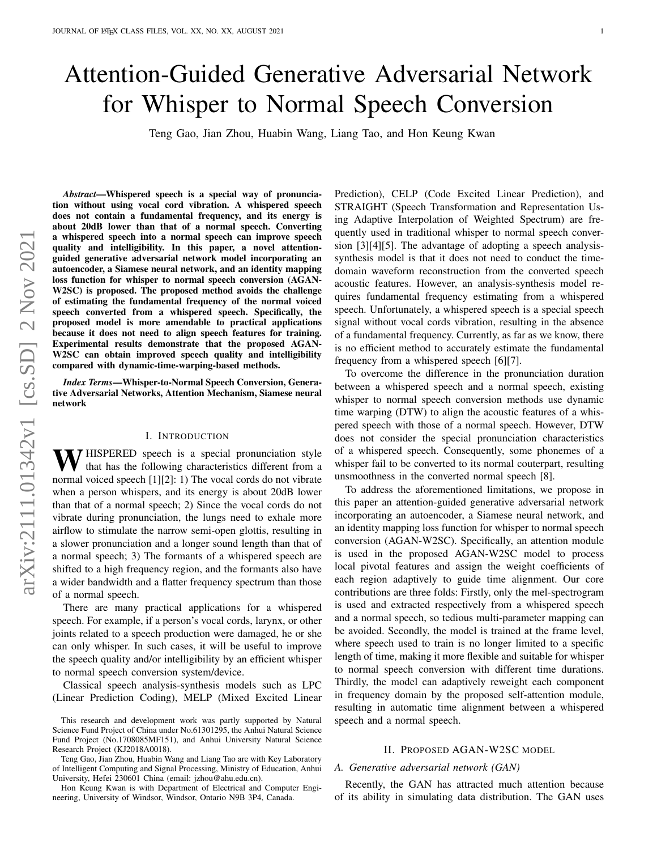# Attention-Guided Generative Adversarial Network for Whisper to Normal Speech Conversion

Teng Gao, Jian Zhou, Huabin Wang, Liang Tao, and Hon Keung Kwan

*Abstract*—Whispered speech is a special way of pronunciation without using vocal cord vibration. A whispered speech does not contain a fundamental frequency, and its energy is about 20dB lower than that of a normal speech. Converting a whispered speech into a normal speech can improve speech quality and intelligibility. In this paper, a novel attentionguided generative adversarial network model incorporating an autoencoder, a Siamese neural network, and an identity mapping loss function for whisper to normal speech conversion (AGAN-W2SC) is proposed. The proposed method avoids the challenge of estimating the fundamental frequency of the normal voiced speech converted from a whispered speech. Specifically, the proposed model is more amendable to practical applications because it does not need to align speech features for training. Experimental results demonstrate that the proposed AGAN-W2SC can obtain improved speech quality and intelligibility compared with dynamic-time-warping-based methods.

*Index Terms*—Whisper-to-Normal Speech Conversion, Generative Adversarial Networks, Attention Mechanism, Siamese neural network

## I. INTRODUCTION

 $\bf{W}$  HISPERED speech is a special pronunciation style that has the following characteristics different from a normal voiced speech [\[1\]](#page-4-0)[\[2\]](#page-4-1): 1) The vocal cords do not vibrate when a person whispers, and its energy is about 20dB lower than that of a normal speech; 2) Since the vocal cords do not vibrate during pronunciation, the lungs need to exhale more airflow to stimulate the narrow semi-open glottis, resulting in a slower pronunciation and a longer sound length than that of a normal speech; 3) The formants of a whispered speech are shifted to a high frequency region, and the formants also have a wider bandwidth and a flatter frequency spectrum than those of a normal speech.

There are many practical applications for a whispered speech. For example, if a person's vocal cords, larynx, or other joints related to a speech production were damaged, he or she can only whisper. In such cases, it will be useful to improve the speech quality and/or intelligibility by an efficient whisper to normal speech conversion system/device.

Classical speech analysis-synthesis models such as LPC (Linear Prediction Coding), MELP (Mixed Excited Linear

Hon Keung Kwan is with Department of Electrical and Computer Engineering, University of Windsor, Windsor, Ontario N9B 3P4, Canada.

Prediction), CELP (Code Excited Linear Prediction), and STRAIGHT (Speech Transformation and Representation Using Adaptive Interpolation of Weighted Spectrum) are frequently used in traditional whisper to normal speech conversion [\[3\]](#page-4-2)[\[4\]](#page-4-3)[\[5\]](#page-4-4). The advantage of adopting a speech analysissynthesis model is that it does not need to conduct the timedomain waveform reconstruction from the converted speech acoustic features. However, an analysis-synthesis model requires fundamental frequency estimating from a whispered speech. Unfortunately, a whispered speech is a special speech signal without vocal cords vibration, resulting in the absence of a fundamental frequency. Currently, as far as we know, there is no efficient method to accurately estimate the fundamental frequency from a whispered speech [\[6\]](#page-4-5)[\[7\]](#page-4-6).

To overcome the difference in the pronunciation duration between a whispered speech and a normal speech, existing whisper to normal speech conversion methods use dynamic time warping (DTW) to align the acoustic features of a whispered speech with those of a normal speech. However, DTW does not consider the special pronunciation characteristics of a whispered speech. Consequently, some phonemes of a whisper fail to be converted to its normal couterpart, resulting unsmoothness in the converted normal speech [\[8\]](#page-4-7).

To address the aforementioned limitations, we propose in this paper an attention-guided generative adversarial network incorporating an autoencoder, a Siamese neural network, and an identity mapping loss function for whisper to normal speech conversion (AGAN-W2SC). Specifically, an attention module is used in the proposed AGAN-W2SC model to process local pivotal features and assign the weight coefficients of each region adaptively to guide time alignment. Our core contributions are three folds: Firstly, only the mel-spectrogram is used and extracted respectively from a whispered speech and a normal speech, so tedious multi-parameter mapping can be avoided. Secondly, the model is trained at the frame level, where speech used to train is no longer limited to a specific length of time, making it more flexible and suitable for whisper to normal speech conversion with different time durations. Thirdly, the model can adaptively reweight each component in frequency domain by the proposed self-attention module, resulting in automatic time alignment between a whispered speech and a normal speech.

# II. PROPOSED AGAN-W2SC MODEL

#### *A. Generative adversarial network (GAN)*

Recently, the GAN has attracted much attention because of its ability in simulating data distribution. The GAN uses

This research and development work was partly supported by Natural Science Fund Project of China under No.61301295, the Anhui Natural Science Fund Project (No.1708085MF151), and Anhui University Natural Science Research Project (KJ2018A0018).

Teng Gao, Jian Zhou, Huabin Wang and Liang Tao are with Key Laboratory of Intelligent Computing and Signal Processing, Ministry of Education, Anhui University, Hefei 230601 China (email: jzhou@ahu.edu.cn).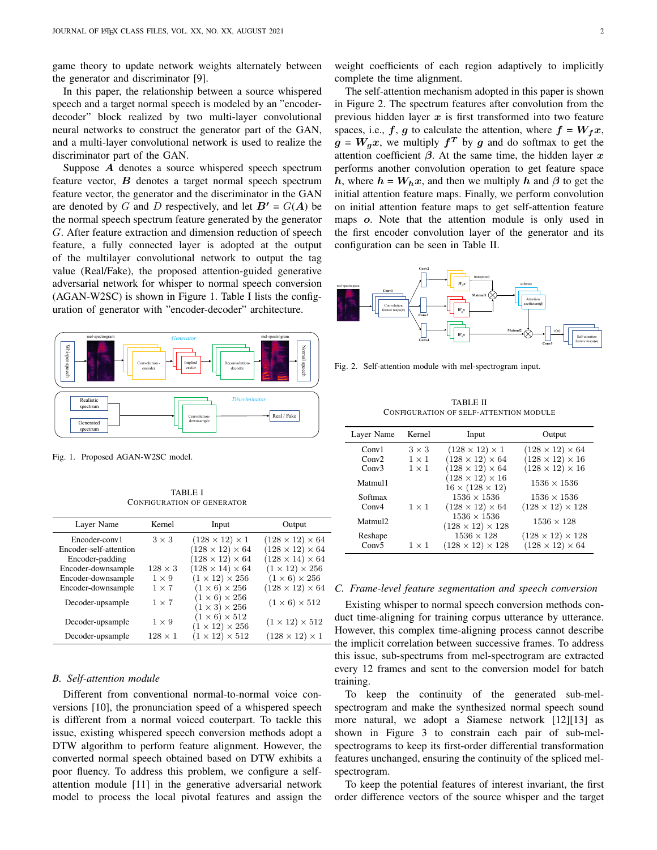game theory to update network weights alternately between the generator and discriminator [\[9\]](#page-4-8).

In this paper, the relationship between a source whispered speech and a target normal speech is modeled by an "encoderdecoder" block realized by two multi-layer convolutional neural networks to construct the generator part of the GAN, and a multi-layer convolutional network is used to realize the discriminator part of the GAN.

Suppose A denotes a source whispered speech spectrum feature vector,  $\boldsymbol{B}$  denotes a target normal speech spectrum feature vector, the generator and the discriminator in the GAN are denoted by G and D respectively, and let  $B' = G(A)$  be the normal speech spectrum feature generated by the generator G. After feature extraction and dimension reduction of speech feature, a fully connected layer is adopted at the output of the multilayer convolutional network to output the tag value (Real/Fake), the proposed attention-guided generative adversarial network for whisper to normal speech conversion (AGAN-W2SC) is shown in Figure [1.](#page-1-0) Table [I](#page-1-1) lists the configuration of generator with "encoder-decoder" architecture.



<span id="page-1-0"></span>Fig. 1. Proposed AGAN-W2SC model.

TABLE I CONFIGURATION OF GENERATOR

<span id="page-1-1"></span>

| Layer Name             | Kernel         | Input                                                   | Output                      |
|------------------------|----------------|---------------------------------------------------------|-----------------------------|
| Encoder-conv1          | $3 \times 3$   | $(128 \times 12) \times 1$                              | $(128 \times 12) \times 64$ |
| Encoder-self-attention |                | $(128 \times 12) \times 64$                             | $(128 \times 12) \times 64$ |
| Encoder-padding        |                | $(128 \times 12) \times 64$                             | $(128 \times 14) \times 64$ |
| Encoder-downsample     | $128 \times 3$ | $(128 \times 14) \times 64$                             | $(1 \times 12) \times 256$  |
| Encoder-downsample     | $1 \times 9$   | $(1 \times 12) \times 256$                              | $(1 \times 6) \times 256$   |
| Encoder-downsample     | $1 \times 7$   | $(1 \times 6) \times 256$                               | $(128 \times 12) \times 64$ |
| Decoder-upsample       | $1 \times 7$   | $(1 \times 6) \times 256$<br>$(1 \times 3) \times 256$  | $(1 \times 6) \times 512$   |
| Decoder-upsample       | $1 \times 9$   | $(1 \times 6) \times 512$<br>$(1 \times 12) \times 256$ | $(1 \times 12) \times 512$  |
| Decoder-upsample       | $128\times1$   | $(1 \times 12) \times 512$                              | $(128 \times 12) \times 1$  |

#### *B. Self-attention module*

Different from conventional normal-to-normal voice conversions [\[10\]](#page-4-9), the pronunciation speed of a whispered speech is different from a normal voiced couterpart. To tackle this issue, existing whispered speech conversion methods adopt a DTW algorithm to perform feature alignment. However, the converted normal speech obtained based on DTW exhibits a poor fluency. To address this problem, we configure a selfattention module [\[11\]](#page-4-10) in the generative adversarial network model to process the local pivotal features and assign the weight coefficients of each region adaptively to implicitly complete the time alignment.

The self-attention mechanism adopted in this paper is shown in Figure [2.](#page-1-2) The spectrum features after convolution from the previous hidden layer  $x$  is first transformed into two feature spaces, i.e.,  $f$ ,  $g$  to calculate the attention, where  $f = W_f x$ ,  $g = W_g x$ , we multiply  $f^T$  by g and do softmax to get the attention coefficient  $\beta$ . At the same time, the hidden layer x performs another convolution operation to get feature space h, where  $h = W_h x$ , and then we multiply h and  $\beta$  to get the initial attention feature maps. Finally, we perform convolution on initial attention feature maps to get self-attention feature maps o. Note that the attention module is only used in the first encoder convolution layer of the generator and its configuration can be seen in Table [II.](#page-1-3)



<span id="page-1-2"></span>Fig. 2. Self-attention module with mel-spectrogram input.

TABLE II CONFIGURATION OF SELF-ATTENTION MODULE

<span id="page-1-3"></span>

| Layer Name          | Kernel       | Input                                                      | Output                       |
|---------------------|--------------|------------------------------------------------------------|------------------------------|
| Conv1               | $3 \times 3$ | $(128 \times 12) \times 1$                                 | $(128 \times 12) \times 64$  |
| Conv2               | $1 \times 1$ | $(128 \times 12) \times 64$                                | $(128 \times 12) \times 16$  |
| Conv3               | $1 \times 1$ | $(128 \times 12) \times 64$                                | $(128 \times 12) \times 16$  |
| Matmul1             |              | $(128 \times 12) \times 16$<br>$16 \times (128 \times 12)$ | $1536 \times 1536$           |
| Softmax             |              | $1536 \times 1536$                                         | $1536 \times 1536$           |
| Conv4               | $1 \times 1$ | $(128 \times 12) \times 64$                                | $(128 \times 12) \times 128$ |
| Matmul <sub>2</sub> |              | $1536 \times 1536$<br>$(128 \times 12) \times 128$         | $1536 \times 128$            |
| Reshape             |              | $1536 \times 128$                                          | $(128 \times 12) \times 128$ |
| Conv <sub>5</sub>   | $1 \times 1$ | $(128 \times 12) \times 128$                               | $(128 \times 12) \times 64$  |

#### *C. Frame-level feature segmentation and speech conversion*

Existing whisper to normal speech conversion methods conduct time-aligning for training corpus utterance by utterance. However, this complex time-aligning process cannot describe the implicit correlation between successive frames. To address this issue, sub-spectrums from mel-spectrogram are extracted every 12 frames and sent to the conversion model for batch training.

To keep the continuity of the generated sub-melspectrogram and make the synthesized normal speech sound more natural, we adopt a Siamese network [\[12\]](#page-4-11)[\[13\]](#page-4-12) as shown in Figure [3](#page-2-0) to constrain each pair of sub-melspectrograms to keep its first-order differential transformation features unchanged, ensuring the continuity of the spliced melspectrogram.

To keep the potential features of interest invariant, the first order difference vectors of the source whisper and the target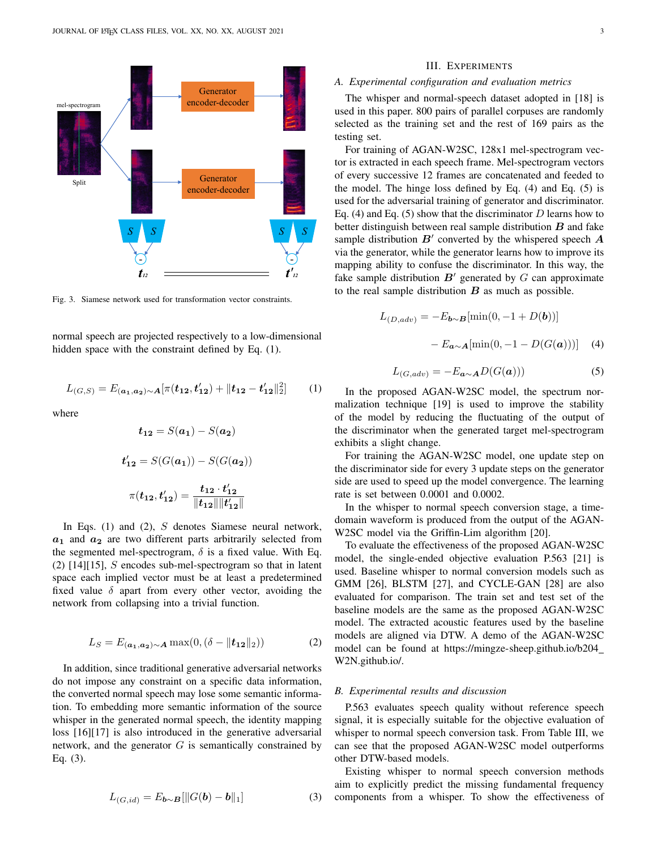

<span id="page-2-0"></span>Fig. 3. Siamese network used for transformation vector constraints.

normal speech are projected respectively to a low-dimensional hidden space with the constraint defined by Eq. (1).

$$
L_{(G,S)} = E_{(a_1, a_2) \sim A} [\pi(t_{12}, t'_{12}) + ||t_{12} - t'_{12}||_2^2]
$$
 (1)

where

$$
t_{12} = S(a_1) - S(a_2)
$$
  

$$
t'_{12} = S(G(a_1)) - S(G(a_2))
$$
  

$$
\pi(t_{12}, t'_{12}) = \frac{t_{12} \cdot t'_{12}}{\|t_{12}\| \|t'_{12}\|}
$$

In Eqs. (1) and (2), S denotes Siamese neural network,  $a_1$  and  $a_2$  are two different parts arbitrarily selected from the segmented mel-spectrogram,  $\delta$  is a fixed value. With Eq. (2)  $[14][15]$  $[14][15]$ , *S* encodes sub-mel-spectrogram so that in latent space each implied vector must be at least a predetermined fixed value  $\delta$  apart from every other vector, avoiding the network from collapsing into a trivial function.

$$
L_S = E_{(\mathbf{a_1}, \mathbf{a_2}) \sim \mathbf{A}} \max(0, (\delta - \|\mathbf{t_{12}}\|_2))
$$
 (2)

In addition, since traditional generative adversarial networks do not impose any constraint on a specific data information, the converted normal speech may lose some semantic information. To embedding more semantic information of the source whisper in the generated normal speech, the identity mapping loss [\[16\]](#page-4-15)[\[17\]](#page-4-16) is also introduced in the generative adversarial network, and the generator  $G$  is semantically constrained by Eq. (3).

$$
L_{(G,id)} = E_{\mathbf{b} \sim \mathbf{B}}[\|G(\mathbf{b}) - \mathbf{b}\|_1]
$$
 (3)

## III. EXPERIMENTS

#### *A. Experimental configuration and evaluation metrics*

The whisper and normal-speech dataset adopted in [\[18\]](#page-4-17) is used in this paper. 800 pairs of parallel corpuses are randomly selected as the training set and the rest of 169 pairs as the testing set.

For training of AGAN-W2SC, 128x1 mel-spectrogram vector is extracted in each speech frame. Mel-spectrogram vectors of every successive 12 frames are concatenated and feeded to the model. The hinge loss defined by Eq. (4) and Eq. (5) is used for the adversarial training of generator and discriminator. Eq. (4) and Eq. (5) show that the discriminator  $D$  learns how to better distinguish between real sample distribution  $B$  and fake sample distribution  $B'$  converted by the whispered speech  $A$ via the generator, while the generator learns how to improve its mapping ability to confuse the discriminator. In this way, the fake sample distribution  $B'$  generated by  $G$  can approximate to the real sample distribution  $B$  as much as possible.

$$
L_{(D,adv)} = -E_{\mathbf{b} \sim \mathbf{B}}[\min(0, -1 + D(\mathbf{b}))]
$$

$$
- E_{\mathbf{a} \sim \mathbf{A}}[\min(0, -1 - D(G(\mathbf{a})))] \quad (4)
$$

$$
L_{(G,adv)} = -E_{\mathbf{a} \sim \mathbf{A}} D(G(\mathbf{a})))
$$
 (5)

In the proposed AGAN-W2SC model, the spectrum normalization technique [\[19\]](#page-4-18) is used to improve the stability of the model by reducing the fluctuating of the output of the discriminator when the generated target mel-spectrogram exhibits a slight change.

For training the AGAN-W2SC model, one update step on the discriminator side for every 3 update steps on the generator side are used to speed up the model convergence. The learning rate is set between 0.0001 and 0.0002.

In the whisper to normal speech conversion stage, a timedomain waveform is produced from the output of the AGAN-W2SC model via the Griffin-Lim algorithm [\[20\]](#page-4-19).

To evaluate the effectiveness of the proposed AGAN-W2SC model, the single-ended objective evaluation P.563 [\[21\]](#page-4-20) is used. Baseline whisper to normal conversion models such as GMM [\[26\]](#page-4-21), BLSTM [\[27\]](#page-4-22), and CYCLE-GAN [\[28\]](#page-4-23) are also evaluated for comparison. The train set and test set of the baseline models are the same as the proposed AGAN-W2SC model. The extracted acoustic features used by the baseline models are aligned via DTW. A demo of the AGAN-W2SC model can be found at [https://mingze-sheep.github.io/b204](https://mingze-sheep.github.io/b204_W2N.github.io/) [W2N.github.io/.](https://mingze-sheep.github.io/b204_W2N.github.io/)

## *B. Experimental results and discussion*

P.563 evaluates speech quality without reference speech signal, it is especially suitable for the objective evaluation of whisper to normal speech conversion task. From Table [III,](#page-3-0) we can see that the proposed AGAN-W2SC model outperforms other DTW-based models.

Existing whisper to normal speech conversion methods aim to explicitly predict the missing fundamental frequency components from a whisper. To show the effectiveness of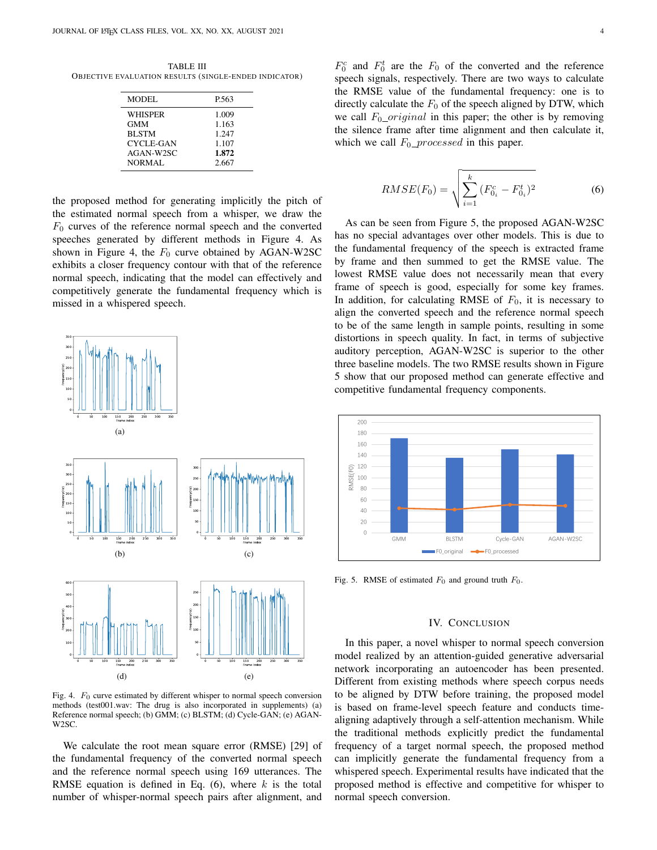<span id="page-3-0"></span>TABLE III OBJECTIVE EVALUATION RESULTS (SINGLE-ENDED INDICATOR)

| <b>MODEL</b>   | P.563 |
|----------------|-------|
| <b>WHISPER</b> | 1.009 |
| <b>GMM</b>     | 1.163 |
| <b>BLSTM</b>   | 1.247 |
| CYCLE-GAN      | 1.107 |
| AGAN-W2SC      | 1.872 |
| NORMAL         | 2.667 |
|                |       |

the proposed method for generating implicitly the pitch of the estimated normal speech from a whisper, we draw the  $F_0$  curves of the reference normal speech and the converted speeches generated by different methods in Figure [4.](#page-3-1) As shown in Figure [4,](#page-3-1) the  $F_0$  curve obtained by AGAN-W2SC exhibits a closer frequency contour with that of the reference normal speech, indicating that the model can effectively and competitively generate the fundamental frequency which is missed in a whispered speech.



<span id="page-3-1"></span>Fig. 4.  $F_0$  curve estimated by different whisper to normal speech conversion methods (test001.wav: The drug is also incorporated in supplements) (a) Reference normal speech; (b) GMM; (c) BLSTM; (d) Cycle-GAN; (e) AGAN-W2SC.

We calculate the root mean square error (RMSE) [\[29\]](#page-4-24) of the fundamental frequency of the converted normal speech and the reference normal speech using 169 utterances. The RMSE equation is defined in Eq.  $(6)$ , where k is the total number of whisper-normal speech pairs after alignment, and

 $F_0^c$  and  $F_0^t$  are the  $F_0$  of the converted and the reference speech signals, respectively. There are two ways to calculate the RMSE value of the fundamental frequency: one is to directly calculate the  $F_0$  of the speech aligned by DTW, which we call  $F_0\_original$  in this paper; the other is by removing the silence frame after time alignment and then calculate it, which we call  $F_0$  *processed* in this paper.

$$
RMSE(F_0) = \sqrt{\sum_{i=1}^{k} (F_{0_i}^c - F_{0_i}^t)^2}
$$
 (6)

As can be seen from Figure [5,](#page-3-2) the proposed AGAN-W2SC has no special advantages over other models. This is due to the fundamental frequency of the speech is extracted frame by frame and then summed to get the RMSE value. The lowest RMSE value does not necessarily mean that every frame of speech is good, especially for some key frames. In addition, for calculating RMSE of  $F_0$ , it is necessary to align the converted speech and the reference normal speech to be of the same length in sample points, resulting in some distortions in speech quality. In fact, in terms of subjective auditory perception, AGAN-W2SC is superior to the other three baseline models. The two RMSE results shown in Figure [5](#page-3-2) show that our proposed method can generate effective and competitive fundamental frequency components.



<span id="page-3-2"></span>Fig. 5. RMSE of estimated  $F_0$  and ground truth  $F_0$ .

## IV. CONCLUSION

In this paper, a novel whisper to normal speech conversion model realized by an attention-guided generative adversarial network incorporating an autoencoder has been presented. Different from existing methods where speech corpus needs to be aligned by DTW before training, the proposed model is based on frame-level speech feature and conducts timealigning adaptively through a self-attention mechanism. While the traditional methods explicitly predict the fundamental frequency of a target normal speech, the proposed method can implicitly generate the fundamental frequency from a whispered speech. Experimental results have indicated that the proposed method is effective and competitive for whisper to normal speech conversion.